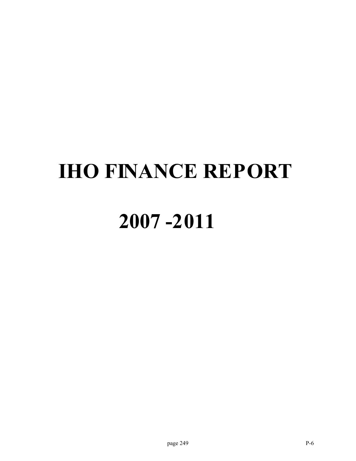# **IHO FINANCE REPORT**

## **2007 -2011**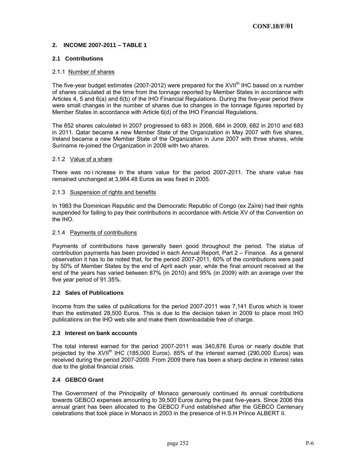## **2. INCOME 2007-2011 – TABLE 1**

## **2.1 Contributions**

#### 2.1.1 Number of shares

The five-year budget estimates (2007-2012) were prepared for the  $XVII<sup>th</sup>$  IHC based on a number of shares calculated at the time from the tonnage reported by Member States in accordance with Articles 4, 5 and 6(a) and 6(b) of the IHO Financial Regulations. During the five-year period there were small changes in the number of shares due to changes in the tonnage figures reported by Member States in accordance with Article 6(d) of the IHO Financial Regulations.

The 652 shares calculated in 2007 progressed to 683 in 2008, 684 in 2009, 682 in 2010 and 683 in 2011. Qatar became a new Member State of the Organization in May 2007 with five shares, Ireland became a new Member State of the Organization in June 2007 with three shares, while Suriname re-joined the Organization in 2008 with two shares.

#### 2.1.2 Value of a share

There was no i ncrease in the share value for the period 2007-2011. The share value has remained unchanged at 3,984.48 Euros as was fixed in 2005.

#### 2.1.3 Suspension of rights and benefits

In 1983 the Dominican Republic and the Democratic Republic of Congo (ex Zaïre) had their rights suspended for failing to pay their contributions in accordance with Article XV of the Convention on the IHO.

## 2.1.4 Payments of contributions

Payments of contributions have generally been good throughout the period. The status of contribution payments has been provided in each Annual Report, Part 2 – Finance. As a general observation it has to be noted that, for the period 2007-2011, 60% of the contributions were paid by 50% of Member States by the end of April each year, while the final amount received at the end of the years has varied between 87% (in 2010) and 95% (in 2009) with an average over the five year period of 91.35%.

## **2.2 Sales of Publications**

Income from the sales of publications for the period 2007-2011 was 7,141 Euros which is lower than the estimated 28,500 Euros. This is due to the decision taken in 2009 to place most IHO publications on the IHO web site and make them downloadable free of charge.

#### **2.3 Interest on bank accounts**

The total interest earned for the period 2007-2011 was 340,876 Euros or nearly double that projected by the XVII<sup>th</sup> IHC (185,000 Euros). 85% of the interest earned (290,000 Euros) was received during the period 2007-2009. From 2009 there has been a sharp decline in interest rates due to the global financial crisis.

## **2.4 GEBCO Grant**

The Government of the Principality of Monaco generously continued its annual contributions towards GEBCO expenses amounting to 39,500 Euros during the past five-years. Since 2006 this annual grant has been allocated to the GEBCO Fund established after the GEBCO Centenary celebrations that took place in Monaco in 2003 in the presence of H.S.H Prince ALBERT II.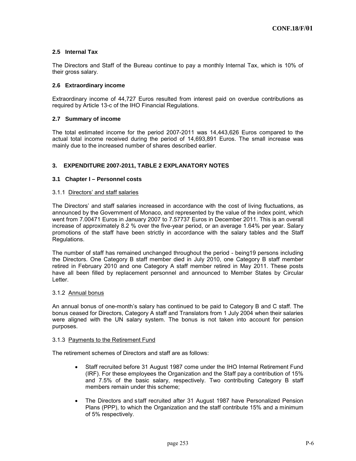## **2.5 Internal Tax**

The Directors and Staff of the Bureau continue to pay a monthly Internal Tax, which is 10% of their gross salary.

#### **2.6 Extraordinary income**

Extraordinary income of 44,727 Euros resulted from interest paid on overdue contributions as required by Article 13-c of the IHO Financial Regulations.

#### **2.7 Summary of income**

The total estimated income for the period 2007-2011 was 14,443,626 Euros compared to the actual total income received during the period of 14,693,891 Euros. The small increase was mainly due to the increased number of shares described earlier.

#### **3. EXPENDITURE 2007-2011, TABLE 2 EXPLANATORY NOTES**

#### **3.1 Chapter I – Personnel costs**

#### 3.1.1 Directors' and staff salaries

The Directors' and staff salaries increased in accordance with the cost of living fluctuations, as announced by the Government of Monaco, and represented by the value of the index point, which went from 7.00471 Euros in January 2007 to 7.57737 Euros in December 2011. This is an overall increase of approximately 8.2 % over the five-year period, or an average 1.64% per year. Salary promotions of the staff have been strictly in accordance with the salary tables and the Staff Regulations.

The number of staff has remained unchanged throughout the period - being19 persons including the Directors. One Category B staff member died in July 2010, one Category B staff member retired in February 2010 and one Category A staff member retired in May 2011. These posts have all been filled by replacement personnel and announced to Member States by Circular Letter.

#### 3.1.2 Annual bonus

An annual bonus of one-month's salary has continued to be paid to Category B and C staff. The bonus ceased for Directors, Category A staff and Translators from 1 July 2004 when their salaries were aligned with the UN salary system. The bonus is not taken into account for pension purposes.

#### 3.1.3 Payments to the Retirement Fund

The retirement schemes of Directors and staff are as follows:

- Staff recruited before 31 August 1987 come under the IHO Internal Retirement Fund (IRF). For these employees the Organization and the Staff pay a contribution of 15% and 7.5% of the basic salary, respectively. Two contributing Category B staff members remain under this scheme;
- The Directors and staff recruited after 31 August 1987 have Personalized Pension Plans (PPP), to which the Organization and the staff contribute 15% and a minimum of 5% respectively.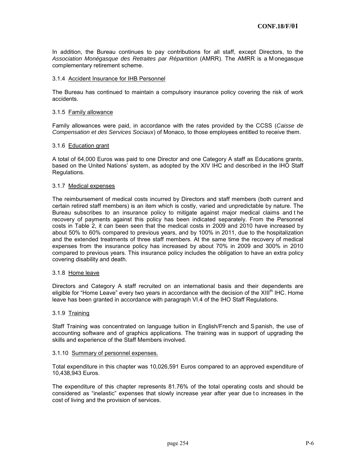In addition, the Bureau continues to pay contributions for all staff, except Directors, to the *Association Monégasque des Retraites par Répartition* (AMRR). The AMRR is a M onegasque complementary retirement scheme.

#### 3.1.4 Accident Insurance for IHB Personnel

The Bureau has continued to maintain a compulsory insurance policy covering the risk of work accidents.

#### 3.1.5 Family allowance

Family allowances were paid, in accordance with the rates provided by the CCSS (*Caisse de Compensation et des Services Sociaux*) of Monaco, to those employees entitled to receive them.

#### 3.1.6 Education grant

A total of 64,000 Euros was paid to one Director and one Category A staff as Educations grants, based on the United Nations' system, as adopted by the XIV IHC and described in the IHO Staff Regulations.

#### 3.1.7 Medical expenses

The reimbursement of medical costs incurred by Directors and staff members (both current and certain retired staff members) is an item which is costly, varied and unpredictable by nature. The Bureau subscribes to an insurance policy to mitigate against major medical claims and t he recovery of payments against this policy has been indicated separately. From the Personnel costs in Table 2, it can been seen that the medical costs in 2009 and 2010 have increased by about 50% to 60% compared to previous years, and by 100% in 2011, due to the hospitalization and the extended treatments of three staff members. At the same time the recovery of medical expenses from the insurance policy has increased by about 70% in 2009 and 300% in 2010 compared to previous years. This insurance policy includes the obligation to have an extra policy covering disability and death.

#### 3.1.8 Home leave

Directors and Category A staff recruited on an international basis and their dependents are eligible for "Home Leave" every two years in accordance with the decision of the XIII<sup>th</sup> IHC. Home leave has been granted in accordance with paragraph VI.4 of the IHO Staff Regulations.

#### 3.1.9 Training

Staff Training was concentrated on language tuition in English/French and S panish, the use of accounting software and of graphics applications. The training was in support of upgrading the skills and experience of the Staff Members involved.

#### 3.1.10 Summary of personnel expenses.

Total expenditure in this chapter was 10,026,591 Euros compared to an approved expenditure of 10,438,943 Euros.

The expenditure of this chapter represents 81.76% of the total operating costs and should be considered as "inelastic" expenses that slowly increase year after year due to increases in the cost of living and the provision of services.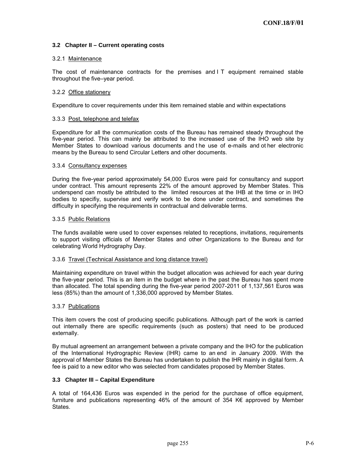## **3.2 Chapter II – Current operating costs**

#### 3.2.1 Maintenance

The cost of maintenance contracts for the premises and I T equipment remained stable throughout the five–year period.

#### 3.2.2 Office stationery

Expenditure to cover requirements under this item remained stable and within expectations

#### 3.3.3 Post, telephone and telefax

Expenditure for all the communication costs of the Bureau has remained steady throughout the five-year period. This can mainly be attributed to the increased use of the IHO web site by Member States to download various documents and t he use of e-mails and ot her electronic means by the Bureau to send Circular Letters and other documents.

#### 3.3.4 Consultancy expenses

During the five-year period approximately 54,000 Euros were paid for consultancy and support under contract. This amount represents 22% of the amount approved by Member States. This underspend can mostly be attributed to the limited resources at the IHB at the time or in IHO bodies to specifiy, supervise and verify work to be done under contract, and sometimes the difficulty in specifying the requirements in contractual and deliverable terms.

#### 3.3.5 Public Relations

The funds available were used to cover expenses related to receptions, invitations, requirements to support visiting officials of Member States and other Organizations to the Bureau and for celebrating World Hydrography Day.

#### 3.3.6 Travel (Technical Assistance and long distance travel)

Maintaining expenditure on travel within the budget allocation was achieved for each year during the five-year period. This is an item in the budget where in the past the Bureau has spent more than allocated. The total spending during the five-year period 2007-2011 of 1,137,561 Euros was less (85%) than the amount of 1,336,000 approved by Member States.

#### 3.3.7 Publications

This item covers the cost of producing specific publications. Although part of the work is carried out internally there are specific requirements (such as posters) that need to be produced externally.

By mutual agreement an arrangement between a private company and the IHO for the publication of the International Hydrographic Review (IHR) came to an end in January 2009. With the approval of Member States the Bureau has undertaken to publish the IHR mainly in digital form. A fee is paid to a new editor who was selected from candidates proposed by Member States.

#### **3.3 Chapter III – Capital Expenditure**

A total of 164,436 Euros was expended in the period for the purchase of office equipment, furniture and publications representing 46% of the amount of 354 K€ approved by Member States.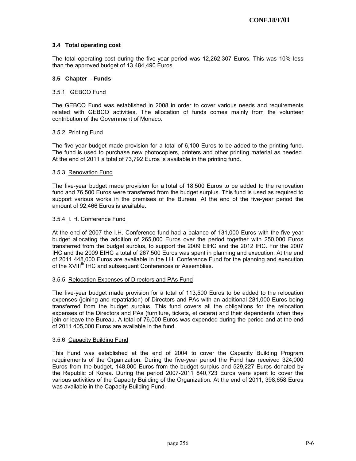## **3.4 Total operating cost**

The total operating cost during the five-year period was 12,262,307 Euros. This was 10% less than the approved budget of 13,484,490 Euros.

## **3.5 Chapter – Funds**

#### 3.5.1 GEBCO Fund

The GEBCO Fund was established in 2008 in order to cover various needs and requirements related with GEBCO activities. The allocation of funds comes mainly from the volunteer contribution of the Government of Monaco.

#### 3.5.2 Printing Fund

The five-year budget made provision for a total of 6,100 Euros to be added to the printing fund. The fund is used to purchase new photocopiers, printers and other printing material as needed. At the end of 2011 a total of 73,792 Euros is available in the printing fund.

#### 3.5.3 Renovation Fund

The five-year budget made provision for a total of 18,500 Euros to be added to the renovation fund and 76,500 Euros were transferred from the budget surplus. This fund is used as required to support various works in the premises of the Bureau. At the end of the five-year period the amount of 92,466 Euros is available.

## 3.5.4 I. H. Conference Fund

At the end of 2007 the I.H. Conference fund had a balance of 131,000 Euros with the five-year budget allocating the addition of 265,000 Euros over the period together with 250,000 Euros transferred from the budget surplus, to support the 2009 EIHC and the 2012 IHC. For the 2007 IHC and the 2009 EIHC a total of 267,500 Euros was spent in planning and execution. At the end of 2011 448,000 Euros are available in the I.H. Conference Fund for the planning and execution of the XVIII<sup>th</sup> IHC and subsequent Conferences or Assemblies.

#### 3.5.5 Relocation Expenses of Directors and PAs Fund

The five-year budget made provision for a total of 113,500 Euros to be added to the relocation expenses (joining and repatriation) of Directors and PAs with an additional 281,000 Euros being transferred from the budget surplus. This fund covers all the obligations for the relocation expenses of the Directors and PAs (furniture, tickets, et cetera) and their dependents when they join or leave the Bureau. A total of 76,000 Euros was expended during the period and at the end of 2011 405,000 Euros are available in the fund.

#### 3.5.6 Capacity Building Fund

This Fund was established at the end of 2004 to cover the Capacity Building Program requirements of the Organization. During the five-year period the Fund has received 324,000 Euros from the budget, 148,000 Euros from the budget surplus and 529,227 Euros donated by the Republic of Korea. During the period 2007-2011 840,723 Euros were spent to cover the various activities of the Capacity Building of the Organization. At the end of 2011, 398,658 Euros was available in the Capacity Building Fund.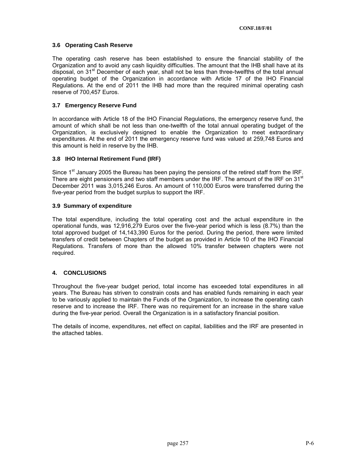## **3.6 Operating Cash Reserve**

The operating cash reserve has been established to ensure the financial stability of the Organization and to avoid any cash liquidity difficulties. The amount that the IHB shall have at its disposal, on  $31<sup>st</sup>$  December of each year, shall not be less than three-twelfths of the total annual operating budget of the Organization in accordance with Article 17 of the IHO Financial Regulations. At the end of 2011 the IHB had more than the required minimal operating cash reserve of 700,457 Euros.

## **3.7 Emergency Reserve Fund**

In accordance with Article 18 of the IHO Financial Regulations, the emergency reserve fund, the amount of which shall be not less than one-twelfth of the total annual operating budget of the Organization, is exclusively designed to enable the Organization to meet extraordinary expenditures. At the end of 2011 the emergency reserve fund was valued at 259,748 Euros and this amount is held in reserve by the IHB.

#### **3.8 IHO Internal Retirement Fund (IRF)**

Since 1<sup>st</sup> January 2005 the Bureau has been paying the pensions of the retired staff from the IRF. There are eight pensioners and two staff members under the IRF. The amount of the IRF on 31<sup>st</sup> December 2011 was 3,015,246 Euros. An amount of 110,000 Euros were transferred during the five-year period from the budget surplus to support the IRF.

## **3.9 Summary of expenditure**

The total expenditure, including the total operating cost and the actual expenditure in the operational funds, was 12,916,279 Euros over the five-year period which is less (8.7%) than the total approved budget of 14,143,390 Euros for the period. During the period, there were limited transfers of credit between Chapters of the budget as provided in Article 10 of the IHO Financial Regulations. Transfers of more than the allowed 10% transfer between chapters were not required.

## **4. CONCLUSIONS**

Throughout the five-year budget period, total income has exceeded total expenditures in all years. The Bureau has striven to constrain costs and has enabled funds remaining in each year to be variously applied to maintain the Funds of the Organization, to increase the operating cash reserve and to increase the IRF. There was no requirement for an increase in the share value during the five-year period. Overall the Organization is in a satisfactory financial position.

The details of income, expenditures, net effect on capital, liabilities and the IRF are presented in the attached tables.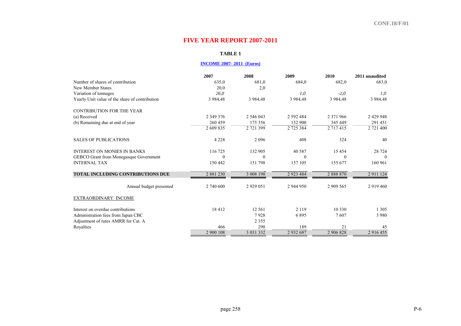## **FIVE YEAR REPORT 2007-2011**

## **TABLE 1**

## **INCOME 2007- 2011 (Euros)**

|                                                | 2007          | 2008          | 2009          | 2010          | 2011 unaudited |
|------------------------------------------------|---------------|---------------|---------------|---------------|----------------|
| Number of shares of contribution               | 635,0         | 681,0         | 684,0         | 682,0         | 683,0          |
| New Member States                              | 20,0          | 2,0           |               |               |                |
| Variation of tonnages                          | 26.0          |               | 1.0           | $-2,0$        | 1,0            |
| Yearly Unit value of the share of contribution | 3 9 8 4 4 8   | 3 984,48      | 3 984,48      | 3 9 8 4 4 8   | 3 9 8 4 4 8    |
| <b>CONTRIBUTION FOR THE YEAR</b>               |               |               |               |               |                |
| (a) Received                                   | 2 3 4 9 3 7 6 | 2 546 043     | 2 592 484     | 2 371 966     | 2 429 948      |
| (b) Remaining due at end of year               | 260 459       | 175 356       | 132 900       | 345 449       | 291 451        |
|                                                | 2 609 835     | 2 721 399     | 2 725 384     | 2 7 1 7 4 1 5 | 2 721 400      |
| <b>SALES OF PUBLICATIONS</b>                   | 4 2 2 8       | 2096          | 408           | 324           | 40             |
| <b>INTEREST ON MONIES IN BANKS</b>             | 116 725       | 132 905       | 40 5 8 7      | 15 4 5 4      | 28 7 24        |
| GEBCO Grant from Monegasque Government         | $\Omega$      | $\theta$      | $\theta$      | $\theta$      | $\theta$       |
| <b>INTERNAL TAX</b>                            | 150 442       | 151 798       | 157 105       | 155 677       | 160 961        |
| <b>TOTAL INCLUDING CONTRIBUTIONS DUE</b>       | 2 881 230     | 3 008 198     | 2 9 2 3 4 8 4 | 2888870       | 2 9 1 1 1 2 4  |
| Annual budget presented                        | 2 740 600     | 2 9 2 9 0 5 1 | 2 944 950     | 2 909 565     | 2 9 1 9 4 6 0  |
| EXTRAORDINARY INCOME                           |               |               |               |               |                |
| Interest on overdue contributions              | 18412         | 12 5 61       | 2 1 1 9       | 10 330        | 1 3 0 5        |
| Administration fees from Japan CBC             |               | 7928          | 6895          | 7607          | 3 9 8 0        |
| Adjustment of rates AMRR for Cat. A            |               | 2 3 5 5       |               |               |                |
| Royalties                                      | 466           | 290           | 189           | 21            | 45             |
|                                                | 2 900 108     | 3 0 3 1 3 3 2 | 2932687       | 2 906 828     | 2 916 455      |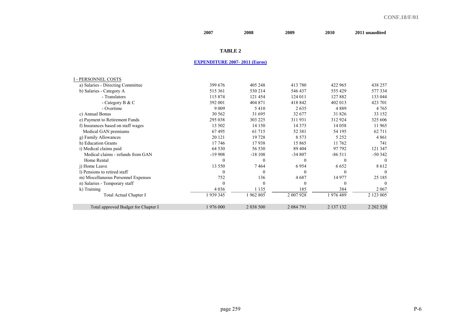|                                     | 2007                                 | 2008         | 2009          | 2010        | 2011 unaudited     |
|-------------------------------------|--------------------------------------|--------------|---------------|-------------|--------------------|
|                                     | <b>TABLE 2</b>                       |              |               |             |                    |
|                                     | <b>EXPENDITURE 2007-2011 (Euros)</b> |              |               |             |                    |
|                                     |                                      |              |               |             |                    |
| <b>I - PERSONNEL COSTS</b>          |                                      |              |               |             |                    |
| a) Salaries - Directing Committee   | 399 676                              | 405 248      | 413 780       | 422 965     | 438 257            |
| b) Salaries - Category A            | 515 361                              | 530 214      | 546 437       | 555 429     | 577334             |
| - Translators                       | 115 874                              | 121 454      | 124 011       | 127882      | 133 044            |
| - Category B & C                    | 392 001                              | 404 871      | 418 842       | 402 013     | 423 701            |
| - Overtime                          | 9 0 0 9                              | 5410         | 2635          | 4889        | 4 7 6 5            |
| c) Annual Bonus                     | 30 562                               | 31 695       | 32 677        | 31 826      | 33 152             |
| e) Payment to Retirement Funds      | 295 038                              | 303 225      | 311931        | 312 924     | 325 606            |
| f) Insurances based on staff wages  | 13 502                               | 14 150       | 14 3 7 3      | 14 058      | 11965              |
| Medical GAN premiums                | 67495                                | 61 715       | 52 381        | 54 195      | 62 711             |
| g) Family Allowances                | 20 12 1                              | 19728        | 8 5 7 3       | 5 2 5 2     | 4861               |
| h) Education Grants                 | 17 746                               | 17938        | 15 865        | 11 762      | 741                |
| i) Medical claims paid              | 64 5 30                              | 56 530       | 89 404        | 97 792      | 121 347            |
| Medical claims - refunds from GAN   | $-19908$                             | $-18108$     | $-34807$      | $-86511$    | $-50342$           |
| Home Rental                         | $\theta$                             | $\mathbf{0}$ | $\theta$      | $\theta$    | $\theta$           |
| i) Home Leave                       | 13 550                               | 7464         | 6954          | 6652        | 8612               |
| 1) Pensions to retired staff        | $\theta$                             | $\theta$     | $\Omega$      | $\theta$    | 0                  |
| m) Miscellaneous Personnel Expenses | 752                                  | 136          | 4687          | 14 977      | 25 185             |
| n) Salaries - Temporary staff       | $\mathbf{0}$                         | $\theta$     | $\theta$      | $\theta$    | 0                  |
| k) Training                         | 4 0 3 6                              | 1 1 3 5      | 185           | 384         | <u>2067 - 2067</u> |
| Total Actual Chapter I              | 939 345                              | <br>1962805  | <br>2 007 928 | <br>1976489 | 2 123 005          |
| Total approved Budget for Chapter I | 1976 000                             | 2 0 38 5 00  | 2 0 8 4 7 9 1 | 2 137 132   | 2 202 5 20         |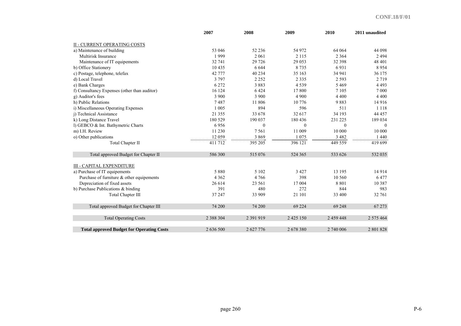|                                                  | 2007          | 2008      | 2009          | 2010      | 2011 unaudited |
|--------------------------------------------------|---------------|-----------|---------------|-----------|----------------|
| <b>II - CURRENT OPERATING COSTS</b>              |               |           |               |           |                |
| a) Maintenance of building                       | 53 046        | 52 236    | 54 972        | 64 064    | 44 098         |
| Multirisk Insurance                              | 1999          | 2 0 6 1   | 2 1 1 5       | 2 3 6 4   | 2494           |
| Maintenance of IT equipements                    | 32 741        | 29 7 26   | 29 053        | 32 398    | 48 401         |
| b) Office Stationery                             | 10 4 35       | 6 6 4 4   | 8735          | 6931      | 8954           |
| c) Postage, telephone, telefax                   | 42 777        | 40 234    | 35 163        | 34 941    | 36 175         |
| d) Local Travel                                  | 3 7 9 7       | 2 2 5 2   | 2 3 3 5       | 2 5 9 3   | 2 7 1 9        |
| e) Bank Charges                                  | 6 2 7 2       | 3883      | 4539          | 5 4 6 9   | 4 4 9 3        |
| f) Consultancy Expenses (other than auditor)     | 16 124        | 6424      | 17 800        | 7 1 0 5   | 7 0 0 0        |
| g) Auditor's fees                                | 3 9 0 0       | 3 9 0 0   | 4 9 0 0       | 4 4 0 0   | 4 4 0 0        |
| h) Public Relations                              | 7487          | 11 806    | 10 776        | 9883      | 14 9 16        |
| i) Miscellaneous Operating Expenses              | 1 0 0 5       | 894       | 596           | 511       | 1 1 1 8        |
| i) Technical Assistance                          | 21 3 5 5      | 33 678    | 32 617        | 34 193    | 44 457         |
| k) Long Distance Travel                          | 180 529       | 190 037   | 180 436       | 231 225   | 189 034        |
| 1) GEBCO & Int. Bathymetric Charts               | 6956          | $\theta$  | $\Omega$      | $\theta$  | $\Omega$       |
| m) I.H. Review                                   | 11 230        | 7 5 6 1   | 11 009        | 10 000    | 10 000         |
| o) Other publications                            | 12 0 59       | 3869      | 1 0 7 5       | 3 4 8 2   | 1 4 4 0        |
| Total Chapter II                                 | 411 712       | 395 205   | 396 121       | 449 559   | 419 699        |
| Total approved Budget for Chapter II             | 586 300       | 515 076   | 524 365       | 533 626   | 532 035        |
| <b>III - CAPITAL EXPENDITURE</b>                 |               |           |               |           |                |
| a) Purchase of IT equipements                    | 5 8 8 0       | 5 1 0 2   | 3 4 2 7       | 13 195    | 14914          |
| Purchase of furniture $\&$ other equipements     | 4 3 6 2       | 4766      | 398           | 10 560    | 6477           |
| Depreciation of fixed assets                     | 26 614        | 23 561    | 17 004        | 8 8 0 1   | 10 3 8 7       |
| b) Purchase Publications & binding               | 391           | 480       | 272           | 844       | 983            |
| <b>Total Chapter III</b>                         | 37 247        | 33 909    | 21 101        | 33 400    | 32 761         |
| Total approved Budget for Chapter III            | 74 200        | 74 200    | 69 224        | 69 248    | 67 273         |
| <b>Total Operating Costs</b>                     | 2 3 8 8 3 0 4 | 2 391 919 | 2 4 2 5 1 5 0 | 2 459 448 | 2 575 464      |
| <b>Total approved Budget for Operating Costs</b> | 2 636 500     | 2 627 776 | 2678380       | 2 740 006 | 2 801 828      |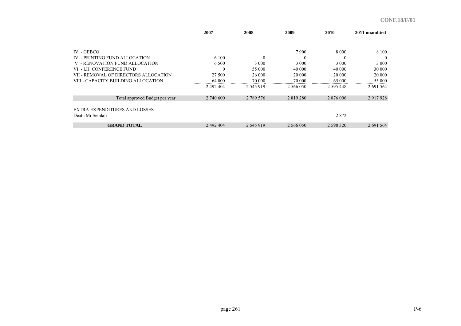|                                       | 2007      | 2008          | 2009          | 2010          | 2011 unaudited |
|---------------------------------------|-----------|---------------|---------------|---------------|----------------|
|                                       |           |               |               |               |                |
| $IV - GEBCO$                          |           |               | 7900          | 8 0 0 0       | 8 1 0 0        |
| IV - PRINTING FUND ALLOCATION         | 6 100     |               | $\theta$      | $\Omega$      | $\theta$       |
| V - RENOVATION FUND ALLOCATION        | 6 500     | 3 0 0 0       | 3 0 0 0       | 3 0 0 0       | 3 0 0 0        |
| VI - LH. CONFERENCE FUND              | $\Omega$  | 55 000        | 40 000        | 40 000        | 30 000         |
| VII - REMOVAL OF DIRECTORS ALLOCATION | 27 500    | 26 000        | 20 000        | 20 000        | 20 000         |
| VIII - CAPACITY BUILDING ALLOCATION   | 64 000    | 70 000        | 70 000        | 65 000        | 55 000         |
|                                       | 2 492 404 | 2 5 4 5 9 1 9 | 2 566 050     | 2 5 9 5 4 4 8 | 2 691 564      |
| Total approved Budget per year        | 2 740 600 | 2 789 576     | 2 8 1 9 2 8 0 | 2 876 006     | 2 9 17 9 28    |
| <b>EXTRA EXPENDITURES AND LOSSES</b>  |           |               |               |               |                |
| Death Mr Semlali                      |           |               |               | 2872          |                |
| <b>GRAND TOTAL</b>                    | 2 492 404 | 2 545 919     | 2 566 050     | 2 598 320     | 2 691 564      |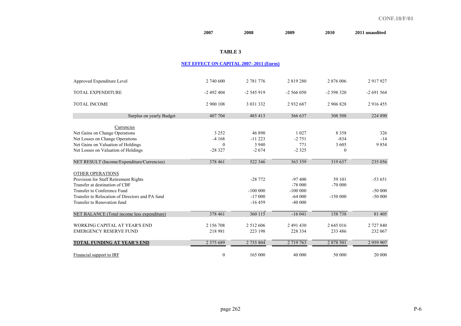|                                                 | 2007                                           | 2008          | 2009        | <b>2010</b> | 2011 unaudited |
|-------------------------------------------------|------------------------------------------------|---------------|-------------|-------------|----------------|
|                                                 | <b>TABLE 3</b>                                 |               |             |             |                |
|                                                 |                                                |               |             |             |                |
|                                                 | <b>NET EFFECT ON CAPITAL 2007-2011 (Euros)</b> |               |             |             |                |
| Approved Expenditure Level                      | 2 740 600                                      | 2 781 776     | 2819280     | 2 876 006   | 2917927        |
| <b>TOTAL EXPENDITURE</b>                        | $-2492404$                                     | $-2545919$    | $-2566050$  | -2 598 320  | $-2691564$     |
| <b>TOTAL INCOME</b>                             | 2 900 108                                      | 3 0 3 1 3 3 2 | 2932687     | 2 906 828   | 2 916 455      |
| Surplus on yearly Budget                        | 407 704                                        | 485 413       | 366 637     | 308 508     | 224 890        |
| Currencies                                      |                                                |               |             |             |                |
| Net Gains on Change Operations                  | 3 2 5 2                                        | 46 890        | 1 0 2 7     | 8 3 5 8     | 326            |
| Net Losses on Change Operations                 | $-4168$                                        | $-11223$      | $-2751$     | $-834$      | $-14$          |
| Net Gains on Valuation of Holdings              | $\theta$                                       | 3 9 4 0       | 771         | 3 6 0 5     | 9854           |
| Net Losses on Valuation of Holdings             | $-28327$                                       | $-2674$       | $-2325$     | $\theta$    |                |
| NET RESULT (Income/Expenditure/Currencies)      | 378 461                                        | 522 346       | 363 359     | 319 637     | 235 056        |
| OTHER OPERATIONS                                |                                                |               |             |             |                |
| Provision for Staff Retirement Rights           |                                                | $-28772$      | $-97400$    | 59 101      | $-53651$       |
| Transfer at destination of CBF                  |                                                |               | $-78000$    | $-70000$    |                |
| Transfer to Conference Fund                     |                                                | $-100000$     | $-100000$   |             | $-50000$       |
| Transfer to Relocation of Directors and PA fund |                                                | $-17000$      | $-64000$    | $-150000$   | $-50000$       |
| Transfer to Renovation fund                     |                                                | $-16459$      | $-40000$    |             |                |
| NET BALANCE (Total income less expenditure)     | 378 461                                        | 360 115       | $-16041$    | 158 738     | 81 405         |
| WORKING CAPITAL AT YEAR'S END                   | 2 156 708                                      | 2 5 1 2 6 0 6 | 2 491 430   | 2 645 016   | 2 727 840      |
| <b>EMERGENCY RESERVE FUND</b>                   | 218 981                                        | 223 198       | 228 334     | 233 486     | 232 067        |
| <b>TOTAL FUNDING AT YEAR'S END</b>              | 2 3 7 5 6 8 9                                  | 2 735 804     | 2 7 19 7 63 | 2 878 501   | 2959907        |
| Financial support to IRF                        | $\mathbf{0}$                                   | 165 000       | 40 000      | 50 000      | 20 000         |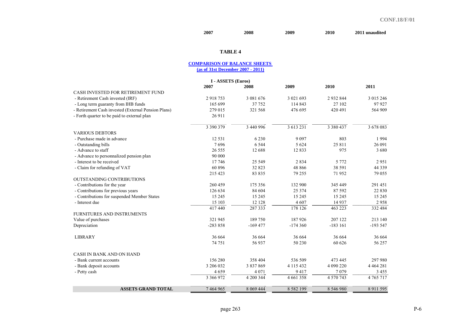#### **2007 2008 2009 2010 2011 unaudited**

## **TABLE 4**

#### **COMPARISON OF BALANCE SHEETS (as of 31st December 2007 - 2011)**

|                                                     | I - ASSETS (Euros) |             |               |               |               |
|-----------------------------------------------------|--------------------|-------------|---------------|---------------|---------------|
|                                                     | 2007               | 2008        | 2009          | 2010          | 2011          |
| CASH INVESTED FOR RETIREMENT FUND                   |                    |             |               |               |               |
| - Retirement Cash invested (IRF)                    | 2918753            | 3 081 676   | 3 021 693     | 2 9 3 2 8 4 4 | 3 015 246     |
| - Long term guaranty from IHB funds                 | 165 699            | 37 752      | 114 843       | 27 102        | 97927         |
| - Retirement Cash invested (External Pension Plans) | 279 015            | 321 568     | 476 695       | 420 491       | 564 909       |
| - Forth quarter to be paid to external plan         | 26 911             |             |               |               |               |
|                                                     | 3 390 379          | 3 440 996   | 3 613 231     | 3 3 8 0 4 3 7 | 3 678 083     |
| <b>VARIOUS DEBTORS</b>                              |                    |             |               |               |               |
| - Purchase made in advance                          | 12 5 3 1           | 6 2 3 0     | 9 0 9 7       | 803           | 1994          |
| - Outstanding bills                                 | 7696               | 6 5 4 4     | 5 6 2 4       | 25 8 11       | 26 091        |
| - Advance to staff                                  | 26 555             | 12 688      | 12833         | 975           | 3 6 8 0       |
| - Advance to personnalized pension plan             | 90 000             |             |               |               |               |
| - Interest to be received                           | 17 746             | 25 5 49     | 2834          | 5 7 7 2       | 2951          |
| - Claim for refunding of VAT                        | 60 896             | 32 823      | 48 8 6 6      | 38 591        | 44 3 3 9      |
|                                                     | 215 423            | 83 835      | 79 255        | 71952         | 79 055        |
| <b>OUTSTANDING CONTRIBUTIONS</b>                    |                    |             |               |               |               |
| - Contributions for the year                        | 260 459            | 175 356     | 132 900       | 345 449       | 291 451       |
| - Contributions for previous years                  | 126 634            | 84 604      | 25 3 7 4      | 87 592        | 22 8 30       |
| - Contributions for suspended Member States         | 15 245             | 15 245      | 15 2 45       | 15 245        | 15 245        |
| - Interest due                                      | 15 103<br>         | 12 128      | 4 607         | 14 9 37       | 2958          |
|                                                     | 417440             | 287 333     | 178 126       | 463 223       | 332 484       |
| FURNITURES AND INSTRUMENTS                          |                    |             |               |               |               |
| Value of purchases                                  | 321 945            | 189 750     | 187926        | 207 122       | 213 140       |
| Depreciation                                        | $-283858$          | $-169477$   | $-174360$     | $-183161$     | $-193547$     |
| <b>LIBRARY</b>                                      | 36 664             | 36 664      | 36 664        | 36 664        | 36 664        |
|                                                     | 74 751             | 56 937      | 50 230        | 60 626        | 56 257        |
| CASH IN BANK AND ON HAND                            |                    |             |               |               |               |
| - Bank current accounts                             | 156 280            | 358 404     | 536 509       | 473 445       | 297 980       |
| - Bank deposit accounts                             | 3 206 032          | 3 837 869   | 4 115 432     | 4 090 220     | 4 4 6 4 2 8 1 |
| - Petty cash                                        | 4659               | 4 0 7 1     | 9417          | 7079          | 3 4 5 5       |
|                                                     | 3 366 972          | 4 200 344   | 4 6 6 1 3 5 8 | 4 570 743     | 4 7 6 5 7 1 7 |
| <b>ASSETS GRAND TOTAL</b>                           | 7 4 6 4 9 6 5      | 8 0 69 4 44 | 8 5 8 2 1 9 9 | 8 546 980     | 8 9 11 5 9 5  |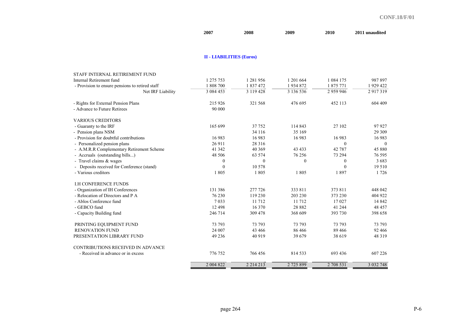| 2007 | 2008 | 2009 | <b>2010</b> | 2011 unaudited |
|------|------|------|-------------|----------------|
|------|------|------|-------------|----------------|

## **II - LIABILITIES (Euros)**

| 1 275 753    |                                |                        |                           | 987897        |
|--------------|--------------------------------|------------------------|---------------------------|---------------|
|              | 1 837 472                      |                        | 1 875 771                 | 1 929 422     |
|              |                                | 3 136 536              | 2 9 5 9 9 4 6             | 2917319       |
| 215 926      | 321 568                        | 476 695                | 452 113                   | 604 409       |
| 90 000       |                                |                        |                           |               |
|              |                                |                        |                           |               |
| 165 699      | 37 752                         | 114 843                | 27 102                    | 97927         |
|              | 34 116                         | 35 169                 |                           | 29 309        |
| 16 983       | 16 983                         | 16 983                 | 16 983                    | 16983         |
| 26 911       | 28 3 16                        |                        | $\mathbf{0}$              | $\Omega$      |
| 41 342       | 40 369                         | 43 4 33                | 42 787                    | 45 880        |
| 48 50 6      | 63 574                         | 76 256                 | 73 294                    | 76 595        |
| $\mathbf{0}$ | $\theta$                       | $\theta$               | $\boldsymbol{0}$          | 3683          |
| $\theta$     | 10 578                         |                        | $\theta$                  | 19510         |
| 1805         | 1805                           | 1805                   | 1897                      | 1726          |
|              |                                |                        |                           |               |
| 131 386      | 277 726                        | 333 811                | 373 811                   | 448 042       |
| 76 230       | 119 230                        | 203 230                | 373 230                   | 404 922       |
| 7033         | 11 712                         | 11 712                 | 17027                     | 14 842        |
| 12 4 9 8     | 16 370                         | 28 8 8 2               | 41 244                    | 48 457        |
| 246 714      | 309 478                        | 368 609                | 393 730                   | 398 658       |
| 73 793       | 73 793                         | 73 793                 | 73 793                    | 73 793        |
| 24 007       | 43 466                         | 86 4 66                | 89 4 66                   | 92 466        |
| 49 236       | 40 919                         | 39 679                 | 38 619                    | 48 3 19       |
|              |                                |                        |                           |               |
| 776 752      | 766 456                        | 814 533                | 693 436                   | 607 226       |
| 2 004 822    | 2 2 1 4 2 1 3                  | 2725899                | 2 708 531                 | 3 032 748     |
|              | $1\ 808\ 700$<br>3 0 8 4 4 5 3 | 1 281 956<br>3 119 428 | 1 201 664<br>1934872<br>. | 1 0 8 4 1 7 5 |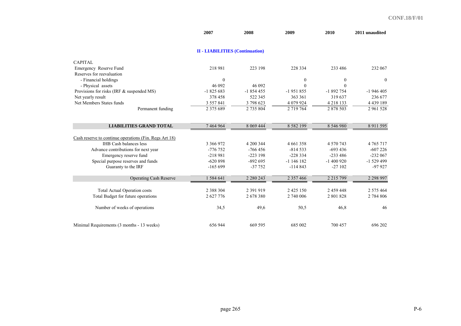|                                                        | 2007                                   | 2008          | 2009             | 2010             | 2011 unaudited |
|--------------------------------------------------------|----------------------------------------|---------------|------------------|------------------|----------------|
|                                                        | <b>II - LIABILITIES (Continuation)</b> |               |                  |                  |                |
| <b>CAPITAL</b>                                         |                                        |               |                  |                  |                |
| Emergency Reserve Fund                                 | 218 981                                | 223 198       | 228 334          | 233 486          | 232 067        |
| Reserves for reevaluation                              |                                        |               |                  |                  |                |
| - Financial holdings                                   | $\mathbf{0}$                           |               | $\boldsymbol{0}$ | $\boldsymbol{0}$ | $\mathbf{0}$   |
| - Physical assets                                      | 46 092                                 | 46 092        | $\Omega$         | $\theta$         |                |
| Provisions for risks (IRF & suspended MS)              | $-1825683$                             | $-1854455$    | $-1951855$       | $-1892754$       | $-1946405$     |
| Net yearly result                                      | 378 458                                | 522 345       | 363 361          | 319 637          | 236 677        |
| Net Members States funds                               | 3 557 841                              | 3 798 623     | 4 079 924        | 4 2 1 8 1 3 3    | 4 4 3 9 1 8 9  |
| Permanent funding                                      | 2 3 7 5 6 8 9                          | 2 735 804     | 2 719 764        | 2 878 503        | 2 961 528      |
|                                                        |                                        |               |                  |                  |                |
| <b>LIABILITIES GRAND TOTAL</b>                         | 7 464 964                              | 8 0 69 4 44   | 8 5 8 2 1 9 9    | 8 546 980        | 8 9 11 5 9 5   |
| Cash reserve to continue operations (Fin. Regs Art 18) |                                        |               |                  |                  |                |
| <b>IHB</b> Cash balances less                          | 3 3 6 9 9 7 2                          | 4 200 344     | 4 6 6 1 3 5 8    | 4 570 743        | 4 7 6 5 7 1 7  |
| Advance contributions for next year                    | -776 752                               | $-766456$     | $-814533$        | $-693436$        | $-607226$      |
| Emergency reserve fund                                 | $-218981$                              | $-223198$     | $-228334$        | $-233486$        | $-232067$      |
| Special purpose reserves and funds                     | $-620898$                              | $-892695$     | $-1$ 146 182     | $-1400920$       | $-1529499$     |
| Guaranty to the IRF                                    | $-165699$                              | $-37752$      | $-114843$        | $-27102$         | $-97927$       |
| <b>Operating Cash Reserve</b>                          | 1584641                                | 2 2 8 0 2 4 3 | 2 3 5 7 4 6 6    | 2 2 1 5 7 9 9    | 2 2 9 9 9 7    |
| <b>Total Actual Operation costs</b>                    | 2 3 8 8 3 0 4                          | 2 391 919     | 2 4 2 5 1 5 0    | 2 459 448        | 2 575 464      |
| Total Budget for future operations                     | 2 627 776                              | 2678380       | 2 740 006        | 2801828          | 2 784 806      |
| Number of weeks of operations                          | 34,5                                   | 49,6          | 50,5             | 46,8             | 46             |
| Minimal Requirements (3 months - 13 weeks)             | 656 944                                | 669 595       | 685 002          | 700 457          | 696 202        |